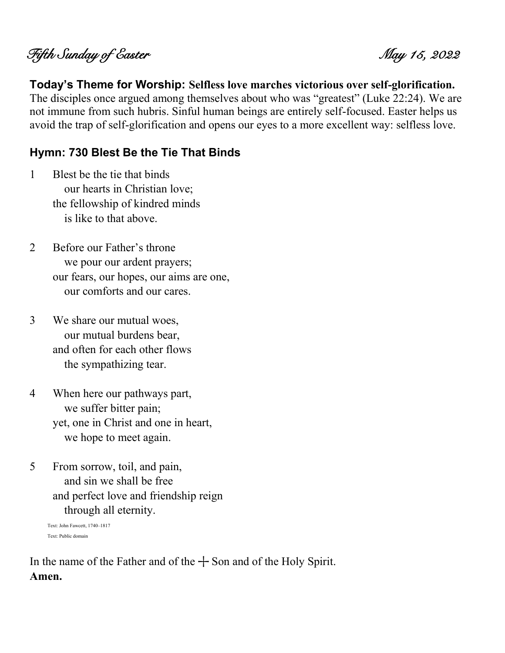# Fifth Sunday of Easter May 15, 2022

#### **Today's Theme for Worship: Selfless love marches victorious over self-glorification.**

The disciples once argued among themselves about who was "greatest" (Luke 22:24). We are not immune from such hubris. Sinful human beings are entirely self-focused. Easter helps us avoid the trap of self-glorification and opens our eyes to a more excellent way: selfless love.

#### **Hymn: 730 Blest Be the Tie That Binds**

- 1 Blest be the tie that binds our hearts in Christian love; the fellowship of kindred minds is like to that above.
- 2 Before our Father's throne we pour our ardent prayers; our fears, our hopes, our aims are one, our comforts and our cares.
- 3 We share our mutual woes, our mutual burdens bear, and often for each other flows the sympathizing tear.
- 4 When here our pathways part, we suffer bitter pain; yet, one in Christ and one in heart, we hope to meet again.
- 5 From sorrow, toil, and pain, and sin we shall be free and perfect love and friendship reign through all eternity.

Text: John Fawcett, 1740–1817 Text: Public domain

In the name of the Father and of the  $+$  Son and of the Holy Spirit. **Amen.**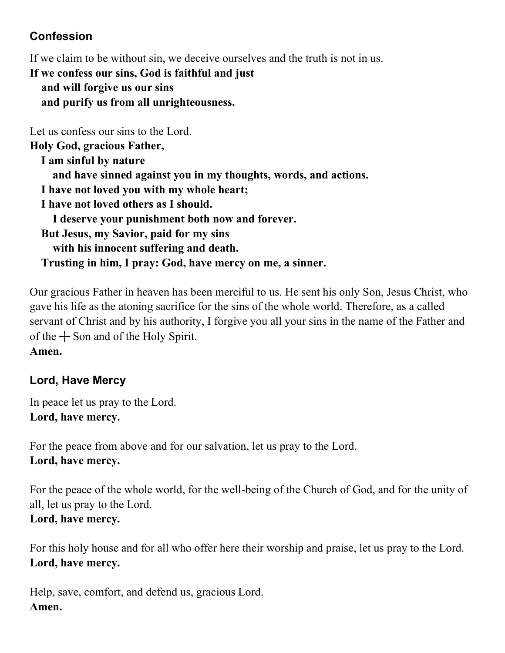## **Confession**

If we claim to be without sin, we deceive ourselves and the truth is not in us.

**If we confess our sins, God is faithful and just and will forgive us our sins and purify us from all unrighteousness.**

Let us confess our sins to the Lord. **Holy God, gracious Father, I am sinful by nature and have sinned against you in my thoughts, words, and actions. I have not loved you with my whole heart; I have not loved others as I should. I deserve your punishment both now and forever. But Jesus, my Savior, paid for my sins with his innocent suffering and death. Trusting in him, I pray: God, have mercy on me, a sinner.**

Our gracious Father in heaven has been merciful to us. He sent his only Son, Jesus Christ, who gave his life as the atoning sacrifice for the sins of the whole world. Therefore, as a called servant of Christ and by his authority, I forgive you all your sins in the name of the Father and of the  $+$  Son and of the Holy Spirit.

**Amen.**

# **Lord, Have Mercy**

In peace let us pray to the Lord. **Lord, have mercy.**

For the peace from above and for our salvation, let us pray to the Lord. **Lord, have mercy.**

For the peace of the whole world, for the well-being of the Church of God, and for the unity of all, let us pray to the Lord. **Lord, have mercy.**

For this holy house and for all who offer here their worship and praise, let us pray to the Lord. **Lord, have mercy.**

Help, save, comfort, and defend us, gracious Lord. **Amen.**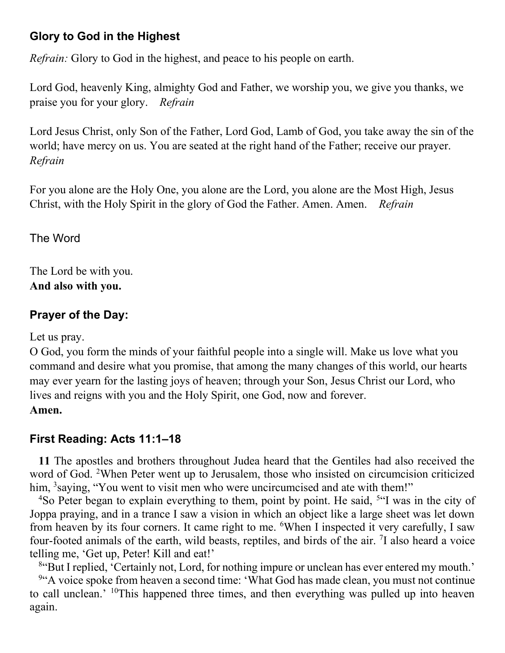#### **Glory to God in the Highest**

*Refrain:* Glory to God in the highest, and peace to his people on earth.

Lord God, heavenly King, almighty God and Father, we worship you, we give you thanks, we praise you for your glory. *Refrain*

Lord Jesus Christ, only Son of the Father, Lord God, Lamb of God, you take away the sin of the world; have mercy on us. You are seated at the right hand of the Father; receive our prayer. *Refrain*

For you alone are the Holy One, you alone are the Lord, you alone are the Most High, Jesus Christ, with the Holy Spirit in the glory of God the Father. Amen. Amen. *Refrain*

The Word

The Lord be with you. **And also with you.**

## **Prayer of the Day:**

Let us pray.

O God, you form the minds of your faithful people into a single will. Make us love what you command and desire what you promise, that among the many changes of this world, our hearts may ever yearn for the lasting joys of heaven; through your Son, Jesus Christ our Lord, who lives and reigns with you and the Holy Spirit, one God, now and forever. **Amen.**

# **First Reading: Acts 11:1–18**

**11** The apostles and brothers throughout Judea heard that the Gentiles had also received the word of God. <sup>2</sup>When Peter went up to Jerusalem, those who insisted on circumcision criticized him, <sup>3</sup>saying, "You went to visit men who were uncircumcised and ate with them!"

<sup>4</sup>So Peter began to explain everything to them, point by point. He said, <sup>5"</sup>I was in the city of Joppa praying, and in a trance I saw a vision in which an object like a large sheet was let down from heaven by its four corners. It came right to me. <sup>6</sup>When I inspected it very carefully, I saw four-footed animals of the earth, wild beasts, reptiles, and birds of the air. <sup>7</sup>I also heard a voice telling me, 'Get up, Peter! Kill and eat!'

<sup>8</sup> But I replied, 'Certainly not, Lord, for nothing impure or unclean has ever entered my mouth.' <sup>9</sup> A voice spoke from heaven a second time: 'What God has made clean, you must not continue to call unclean.' <sup>10</sup>This happened three times, and then everything was pulled up into heaven again.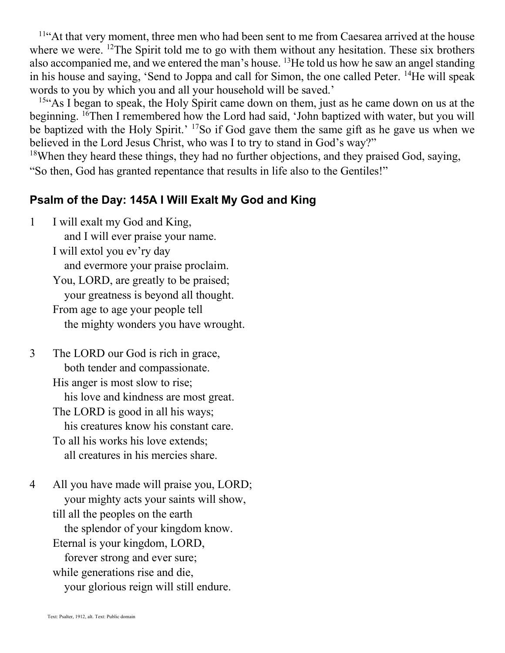<sup>11"</sup>At that very moment, three men who had been sent to me from Caesarea arrived at the house where we were. <sup>12</sup>The Spirit told me to go with them without any hesitation. These six brothers also accompanied me, and we entered the man's house. <sup>13</sup>He told us how he saw an angel standing in his house and saying, 'Send to Joppa and call for Simon, the one called Peter. <sup>14</sup>He will speak words to you by which you and all your household will be saved.'

<sup>15"</sup>As I began to speak, the Holy Spirit came down on them, just as he came down on us at the beginning. <sup>16</sup>Then I remembered how the Lord had said, 'John baptized with water, but you will be baptized with the Holy Spirit.' <sup>17</sup>So if God gave them the same gift as he gave us when we believed in the Lord Jesus Christ, who was I to try to stand in God's way?"

 $18$ When they heard these things, they had no further objections, and they praised God, saying, "So then, God has granted repentance that results in life also to the Gentiles!"

#### **Psalm of the Day: 145A I Will Exalt My God and King**

- 1 I will exalt my God and King, and I will ever praise your name. I will extol you ev'ry day and evermore your praise proclaim. You, LORD, are greatly to be praised; your greatness is beyond all thought. From age to age your people tell the mighty wonders you have wrought.
- 3 The LORD our God is rich in grace, both tender and compassionate. His anger is most slow to rise; his love and kindness are most great. The LORD is good in all his ways; his creatures know his constant care. To all his works his love extends; all creatures in his mercies share.
- 4 All you have made will praise you, LORD; your mighty acts your saints will show, till all the peoples on the earth the splendor of your kingdom know. Eternal is your kingdom, LORD, forever strong and ever sure; while generations rise and die, your glorious reign will still endure.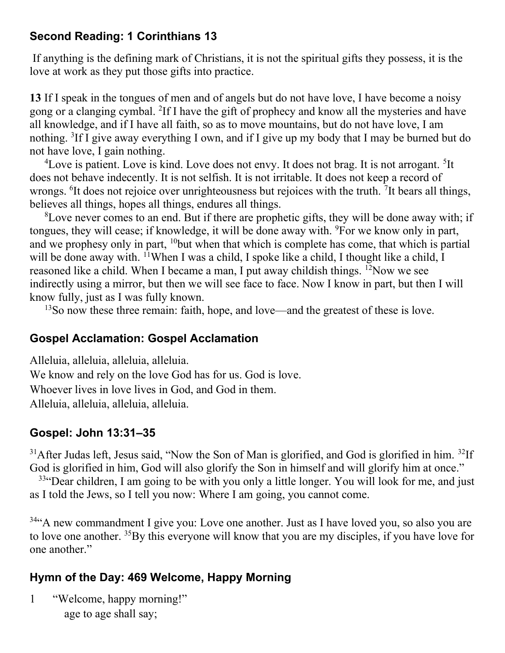#### **Second Reading: 1 Corinthians 13**

If anything is the defining mark of Christians, it is not the spiritual gifts they possess, it is the love at work as they put those gifts into practice.

**13** If I speak in the tongues of men and of angels but do not have love, I have become a noisy gong or a clanging cymbal. <sup>2</sup>If I have the gift of prophecy and know all the mysteries and have all knowledge, and if I have all faith, so as to move mountains, but do not have love, I am nothing. <sup>3</sup>If I give away everything I own, and if I give up my body that I may be burned but do not have love, I gain nothing.

 ${}^{4}$ Love is patient. Love is kind. Love does not envy. It does not brag. It is not arrogant. <sup>5</sup>It does not behave indecently. It is not selfish. It is not irritable. It does not keep a record of wrongs. <sup>6</sup>It does not rejoice over unrighteousness but rejoices with the truth. <sup>7</sup>It bears all things, believes all things, hopes all things, endures all things.

 ${}^{8}$ Love never comes to an end. But if there are prophetic gifts, they will be done away with; if tongues, they will cease; if knowledge, it will be done away with. <sup>9</sup>For we know only in part, and we prophesy only in part, <sup>10</sup>but when that which is complete has come, that which is partial will be done away with. <sup>11</sup>When I was a child, I spoke like a child, I thought like a child, I reasoned like a child. When I became a man, I put away childish things. <sup>12</sup>Now we see indirectly using a mirror, but then we will see face to face. Now I know in part, but then I will know fully, just as I was fully known.

<sup>13</sup>So now these three remain: faith, hope, and love—and the greatest of these is love.

#### **Gospel Acclamation: Gospel Acclamation**

Alleluia, alleluia, alleluia, alleluia. We know and rely on the love God has for us. God is love. Whoever lives in love lives in God, and God in them. Alleluia, alleluia, alleluia, alleluia.

#### **Gospel: John 13:31–35**

 $31$ After Judas left, Jesus said, "Now the Son of Man is glorified, and God is glorified in him.  $32$ If God is glorified in him, God will also glorify the Son in himself and will glorify him at once."

 $33$ "Dear children, I am going to be with you only a little longer. You will look for me, and just as I told the Jews, so I tell you now: Where I am going, you cannot come.

<sup>34</sup> A new commandment I give you: Love one another. Just as I have loved you, so also you are to love one another. <sup>35</sup>By this everyone will know that you are my disciples, if you have love for one another."

#### **Hymn of the Day: 469 Welcome, Happy Morning**

1 "Welcome, happy morning!" age to age shall say;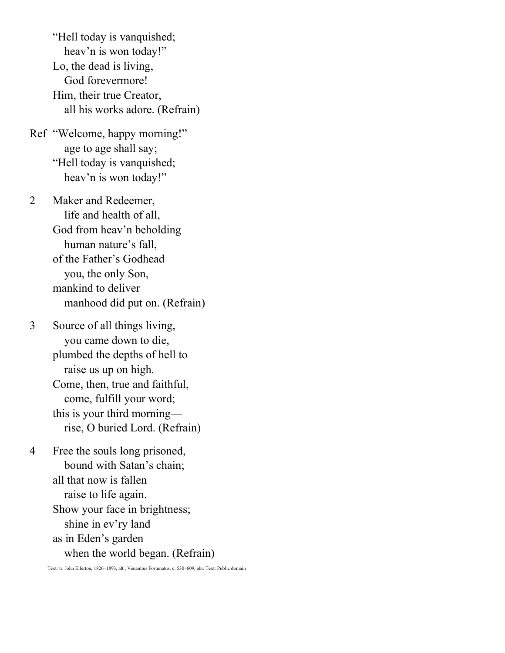"Hell today is vanquished; heav'n is won today!" Lo, the dead is living, God forevermore! Him, their true Creator, all his works adore. (Refrain)

Ref "Welcome, happy morning!" age to age shall say; "Hell today is vanquished; heav'n is won today!"

2 Maker and Redeemer, life and health of all, God from heav'n beholding human nature's fall, of the Father's Godhead you, the only Son, mankind to deliver manhood did put on. (Refrain)

3 Source of all things living, you came down to die, plumbed the depths of hell to raise us up on high. Come, then, true and faithful, come, fulfill your word; this is your third morning rise, O buried Lord. (Refrain)

4 Free the souls long prisoned, bound with Satan's chain; all that now is fallen raise to life again. Show your face in brightness; shine in ev'ry land as in Eden's garden when the world began. (Refrain)

Text: tr. John Ellerton, 1826–1893, alt.; Venantius Fortunatus, c. 530–609, abr. Text: Public domain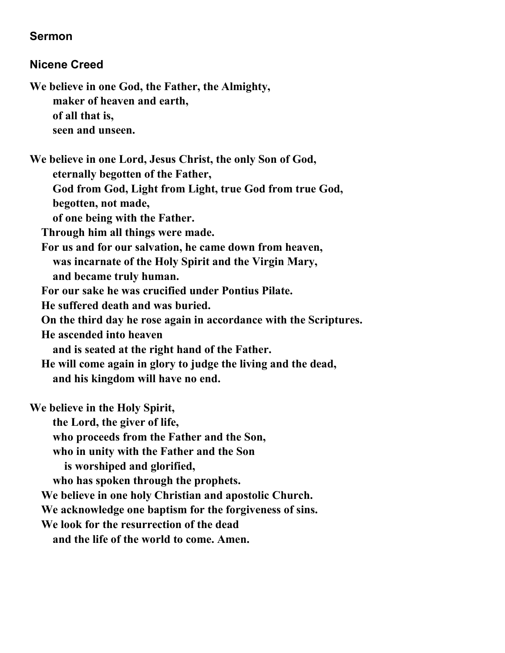#### **Sermon**

#### **Nicene Creed**

**We believe in one God, the Father, the Almighty, maker of heaven and earth, of all that is, seen and unseen.**

**We believe in one Lord, Jesus Christ, the only Son of God, eternally begotten of the Father,**

 **God from God, Light from Light, true God from true God,**

 **begotten, not made,**

 **of one being with the Father.**

 **Through him all things were made.**

 **For us and for our salvation, he came down from heaven, was incarnate of the Holy Spirit and the Virgin Mary, and became truly human.**

 **For our sake he was crucified under Pontius Pilate.**

 **He suffered death and was buried.**

 **On the third day he rose again in accordance with the Scriptures.**

 **He ascended into heaven**

 **and is seated at the right hand of the Father.**

 **He will come again in glory to judge the living and the dead, and his kingdom will have no end.**

**We believe in the Holy Spirit,**

 **the Lord, the giver of life,**

 **who proceeds from the Father and the Son,**

 **who in unity with the Father and the Son** 

 **is worshiped and glorified,**

 **who has spoken through the prophets.**

 **We believe in one holy Christian and apostolic Church.**

 **We acknowledge one baptism for the forgiveness of sins.**

 **We look for the resurrection of the dead**

 **and the life of the world to come. Amen.**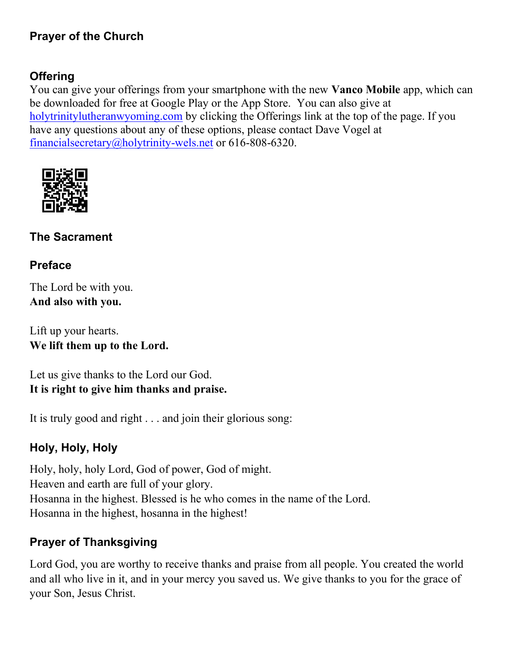#### **Prayer of the Church**

#### **Offering**

You can give your offerings from your smartphone with the new **Vanco Mobile** app, which can be downloaded for free at Google Play or the App Store. You can also give at [holytrinitylutheranwyoming.com](http://holytrinitylutheranwyoming.com/) by clicking the Offerings link at the top of the page. If you have any questions about any of these options, please contact Dave Vogel at [financialsecretary@holytrinity-wels.net](mailto:financialsecretary@holytrinity-wels.net) or 616-808-6320.



#### **The Sacrament**

#### **Preface**

The Lord be with you. **And also with you.**

Lift up your hearts. **We lift them up to the Lord.**

Let us give thanks to the Lord our God. **It is right to give him thanks and praise.**

It is truly good and right . . . and join their glorious song:

#### **Holy, Holy, Holy**

Holy, holy, holy Lord, God of power, God of might. Heaven and earth are full of your glory. Hosanna in the highest. Blessed is he who comes in the name of the Lord. Hosanna in the highest, hosanna in the highest!

#### **Prayer of Thanksgiving**

Lord God, you are worthy to receive thanks and praise from all people. You created the world and all who live in it, and in your mercy you saved us. We give thanks to you for the grace of your Son, Jesus Christ.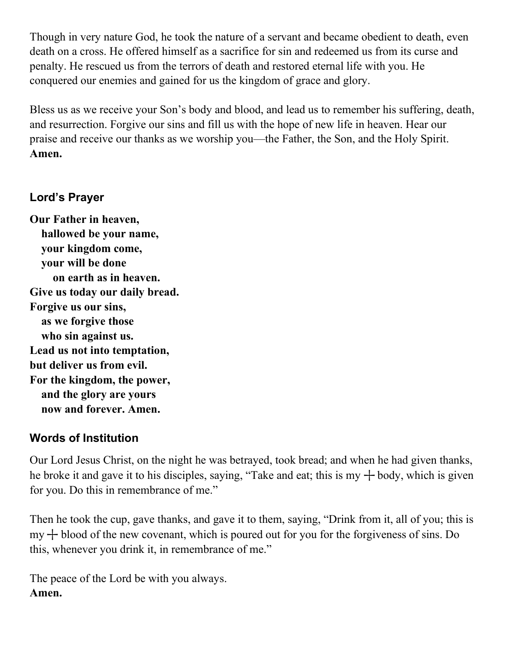Though in very nature God, he took the nature of a servant and became obedient to death, even death on a cross. He offered himself as a sacrifice for sin and redeemed us from its curse and penalty. He rescued us from the terrors of death and restored eternal life with you. He conquered our enemies and gained for us the kingdom of grace and glory.

Bless us as we receive your Son's body and blood, and lead us to remember his suffering, death, and resurrection. Forgive our sins and fill us with the hope of new life in heaven. Hear our praise and receive our thanks as we worship you—the Father, the Son, and the Holy Spirit. **Amen.**

#### **Lord's Prayer**

**Our Father in heaven, hallowed be your name, your kingdom come, your will be done on earth as in heaven. Give us today our daily bread. Forgive us our sins, as we forgive those who sin against us. Lead us not into temptation, but deliver us from evil. For the kingdom, the power, and the glory are yours now and forever. Amen.**

#### **Words of Institution**

Our Lord Jesus Christ, on the night he was betrayed, took bread; and when he had given thanks, he broke it and gave it to his disciples, saying, "Take and eat; this is my  $+$  body, which is given for you. Do this in remembrance of me."

Then he took the cup, gave thanks, and gave it to them, saying, "Drink from it, all of you; this is  $my + blood of the new covenant, which is poured out for you for the for giveness of sins. Do$ this, whenever you drink it, in remembrance of me."

The peace of the Lord be with you always. **Amen.**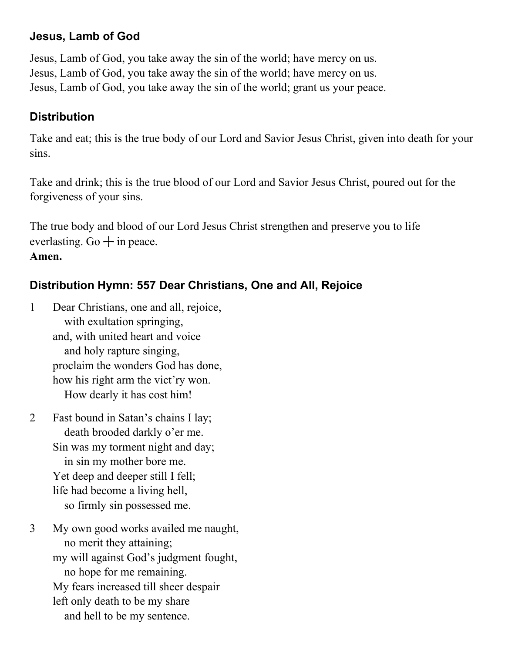#### **Jesus, Lamb of God**

Jesus, Lamb of God, you take away the sin of the world; have mercy on us. Jesus, Lamb of God, you take away the sin of the world; have mercy on us. Jesus, Lamb of God, you take away the sin of the world; grant us your peace.

#### **Distribution**

Take and eat; this is the true body of our Lord and Savior Jesus Christ, given into death for your sins.

Take and drink; this is the true blood of our Lord and Savior Jesus Christ, poured out for the forgiveness of your sins.

The true body and blood of our Lord Jesus Christ strengthen and preserve you to life everlasting. Go  $+$  in peace. **Amen.**

## **Distribution Hymn: 557 Dear Christians, One and All, Rejoice**

- 1 Dear Christians, one and all, rejoice, with exultation springing, and, with united heart and voice and holy rapture singing, proclaim the wonders God has done, how his right arm the vict'ry won. How dearly it has cost him!
- 2 Fast bound in Satan's chains I lay; death brooded darkly o'er me. Sin was my torment night and day; in sin my mother bore me. Yet deep and deeper still I fell; life had become a living hell, so firmly sin possessed me.
- 3 My own good works availed me naught, no merit they attaining; my will against God's judgment fought, no hope for me remaining. My fears increased till sheer despair left only death to be my share and hell to be my sentence.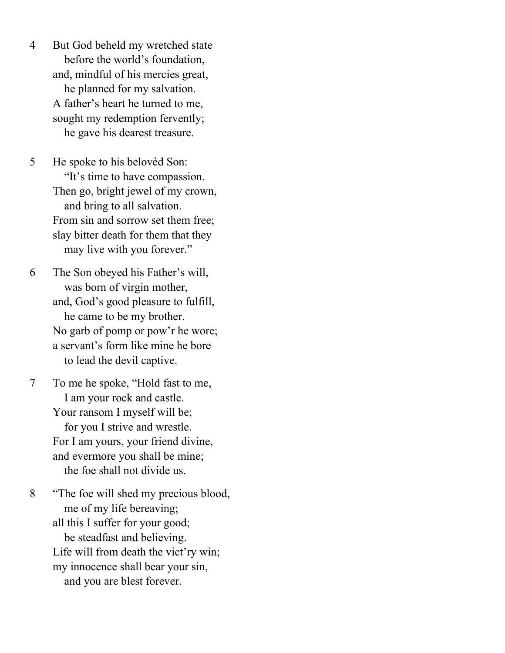4 But God beheld my wretched state before the world's foundation, and, mindful of his mercies great, he planned for my salvation. A father's heart he turned to me, sought my redemption fervently; he gave his dearest treasure.

5 He spoke to his belovèd Son: "It's time to have compassion. Then go, bright jewel of my crown, and bring to all salvation. From sin and sorrow set them free; slay bitter death for them that they may live with you forever."

6 The Son obeyed his Father's will, was born of virgin mother, and, God's good pleasure to fulfill, he came to be my brother. No garb of pomp or pow'r he wore; a servant's form like mine he bore to lead the devil captive.

7 To me he spoke, "Hold fast to me, I am your rock and castle. Your ransom I myself will be; for you I strive and wrestle. For I am yours, your friend divine, and evermore you shall be mine; the foe shall not divide us.

8 "The foe will shed my precious blood, me of my life bereaving; all this I suffer for your good; be steadfast and believing. Life will from death the vict'ry win; my innocence shall bear your sin, and you are blest forever.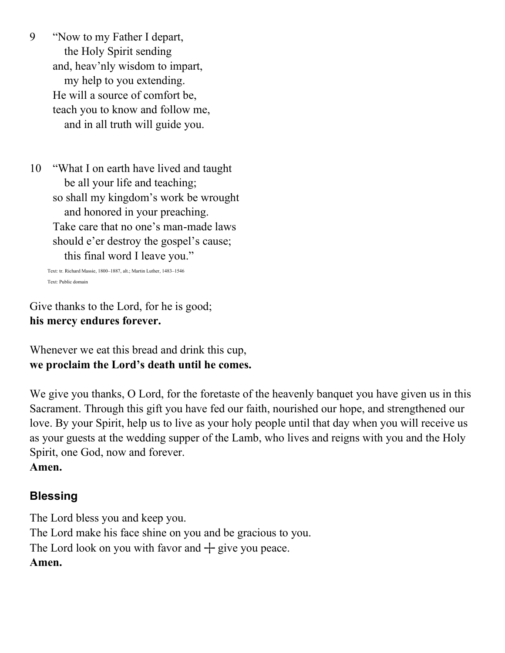9 "Now to my Father I depart, the Holy Spirit sending and, heav'nly wisdom to impart, my help to you extending. He will a source of comfort be, teach you to know and follow me, and in all truth will guide you.

10 "What I on earth have lived and taught be all your life and teaching; so shall my kingdom's work be wrought and honored in your preaching. Take care that no one's man-made laws should e'er destroy the gospel's cause; this final word I leave you."

Text: tr. Richard Massie, 1800–1887, alt.; Martin Luther, 1483–1546 Text: Public domain

Give thanks to the Lord, for he is good; **his mercy endures forever.**

Whenever we eat this bread and drink this cup, **we proclaim the Lord's death until he comes.**

We give you thanks, O Lord, for the foretaste of the heavenly banquet you have given us in this Sacrament. Through this gift you have fed our faith, nourished our hope, and strengthened our love. By your Spirit, help us to live as your holy people until that day when you will receive us as your guests at the wedding supper of the Lamb, who lives and reigns with you and the Holy Spirit, one God, now and forever. **Amen.**

# **Blessing**

The Lord bless you and keep you. The Lord make his face shine on you and be gracious to you. The Lord look on you with favor and  $+$  give you peace. **Amen.**